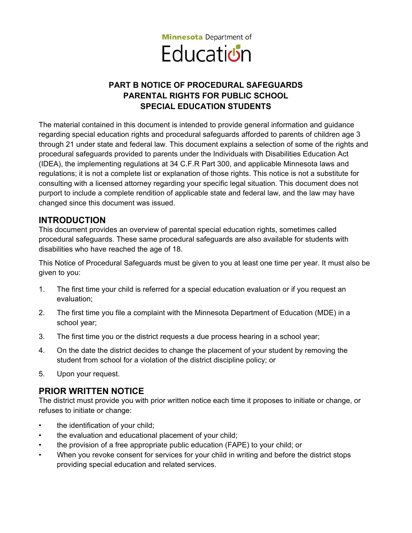

# **PART B NOTICE OF PROCEDURAL SAFEGUARDS PARENTAL RIGHTS FOR PUBLIC SCHOOL SPECIAL EDUCATION STUDENTS**

The material contained in this document is intended to provide general information and guidance regarding special education rights and procedural safeguards afforded to parents of children age 3 through 21 under state and federal law. This document explains a selection of some of the rights and procedural safeguards provided to parents under the Individuals with Disabilities Education Act (IDEA), the implementing regulations at 34 C.F.R Part 300, and applicable Minnesota laws and regulations; it is not a complete list or explanation of those rights. This notice is not a substitute for consulting with a licensed attorney regarding your specific legal situation. This document does not purport to include a complete rendition of applicable state and federal law, and the law may have changed since this document was issued.

## **INTRODUCTION**

This document provides an overview of parental special education rights, sometimes called procedural safeguards. These same procedural safeguards are also available for students with disabilities who have reached the age of 18.

This Notice of Procedural Safeguards must be given to you at least one time per year. It must also be given to you:

- 1. The first time your child is referred for a special education evaluation or if you request an evaluation;
- 2. The first time you file a complaint with the Minnesota Department of Education (MDE) in a school year;
- 3. The first time you or the district requests a due process hearing in a school year;
- 4. On the date the district decides to change the placement of your student by removing the student from school for a violation of the district discipline policy; or
- 5. Upon your request.

## **PRIOR WRITTEN NOTICE**

The district must provide you with prior written notice each time it proposes to initiate or change, or refuses to initiate or change:

- the identification of your child;
- the evaluation and educational placement of your child;
- the provision of a free appropriate public education (FAPE) to your child; or
- When you revoke consent for services for your child in writing and before the district stops providing special education and related services.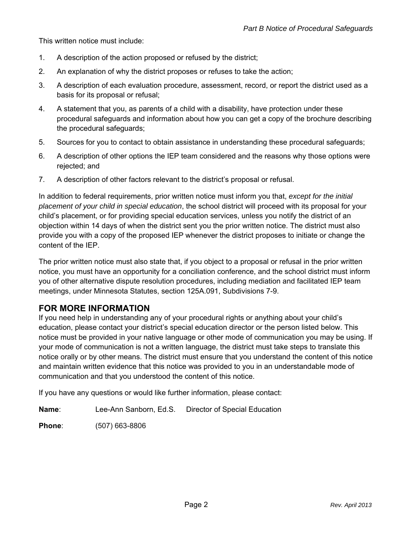This written notice must include:

- 1. A description of the action proposed or refused by the district;
- 2. An explanation of why the district proposes or refuses to take the action;
- 3. A description of each evaluation procedure, assessment, record, or report the district used as a basis for its proposal or refusal;
- 4. A statement that you, as parents of a child with a disability, have protection under these procedural safeguards and information about how you can get a copy of the brochure describing the procedural safeguards;
- 5. Sources for you to contact to obtain assistance in understanding these procedural safeguards;
- 6. A description of other options the IEP team considered and the reasons why those options were rejected; and
- 7. A description of other factors relevant to the district's proposal or refusal.

In addition to federal requirements, prior written notice must inform you that, *except for the initial placement of your child in special education*, the school district will proceed with its proposal for your child's placement, or for providing special education services, unless you notify the district of an objection within 14 days of when the district sent you the prior written notice. The district must also provide you with a copy of the proposed IEP whenever the district proposes to initiate or change the content of the IEP.

The prior written notice must also state that, if you object to a proposal or refusal in the prior written notice, you must have an opportunity for a conciliation conference, and the school district must inform you of other alternative dispute resolution procedures, including mediation and facilitated IEP team meetings, under Minnesota Statutes, section 125A.091, Subdivisions 7-9.

## **FOR MORE INFORMATION**

If you need help in understanding any of your procedural rights or anything about your child's education, please contact your district's special education director or the person listed below. This notice must be provided in your native language or other mode of communication you may be using. If your mode of communication is not a written language, the district must take steps to translate this notice orally or by other means. The district must ensure that you understand the content of this notice and maintain written evidence that this notice was provided to you in an understandable mode of communication and that you understood the content of this notice.

If you have any questions or would like further information, please contact:

**Name**: Lee-Ann Sanborn, Ed.S. Director of Special Education

**Phone**: (507) 663-8806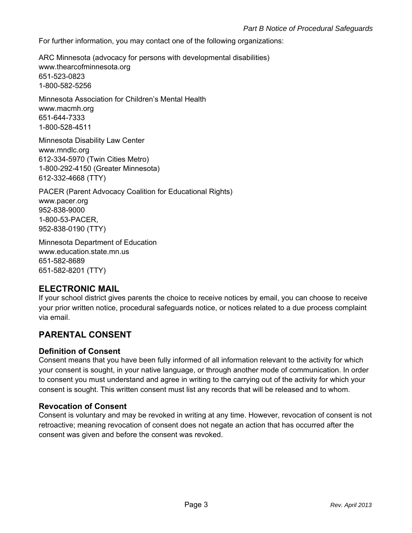For further information, you may contact one of the following organizations:

ARC Minnesota (advocacy for persons with developmental disabilities) www.thearcofminnesota.org 651-523-0823 1-800-582-5256

Minnesota Association for Children's Mental Health www.macmh.org 651-644-7333 1-800-528-4511

Minnesota Disability Law Center www.mndlc.org 612-334-5970 (Twin Cities Metro) 1-800-292-4150 (Greater Minnesota) 612-332-4668 (TTY)

PACER (Parent Advocacy Coalition for Educational Rights) www.pacer.org 952-838-9000 1-800-53-PACER, 952-838-0190 (TTY)

Minnesota Department of Education www.education.state.mn.us 651-582-8689 651-582-8201 (TTY)

## **ELECTRONIC MAIL**

If your school district gives parents the choice to receive notices by email, you can choose to receive your prior written notice, procedural safeguards notice, or notices related to a due process complaint via email.

## **PARENTAL CONSENT**

#### **Definition of Consent**

Consent means that you have been fully informed of all information relevant to the activity for which your consent is sought, in your native language, or through another mode of communication. In order to consent you must understand and agree in writing to the carrying out of the activity for which your consent is sought. This written consent must list any records that will be released and to whom.

#### **Revocation of Consent**

Consent is voluntary and may be revoked in writing at any time. However, revocation of consent is not retroactive; meaning revocation of consent does not negate an action that has occurred after the consent was given and before the consent was revoked.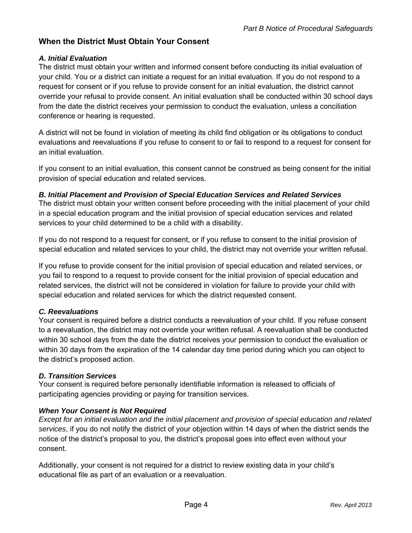## **When the District Must Obtain Your Consent**

### *A. Initial Evaluation*

The district must obtain your written and informed consent before conducting its initial evaluation of your child. You or a district can initiate a request for an initial evaluation. If you do not respond to a request for consent or if you refuse to provide consent for an initial evaluation, the district cannot override your refusal to provide consent. An initial evaluation shall be conducted within 30 school days from the date the district receives your permission to conduct the evaluation, unless a conciliation conference or hearing is requested.

A district will not be found in violation of meeting its child find obligation or its obligations to conduct evaluations and reevaluations if you refuse to consent to or fail to respond to a request for consent for an initial evaluation.

If you consent to an initial evaluation, this consent cannot be construed as being consent for the initial provision of special education and related services.

#### *B. Initial Placement and Provision of Special Education Services and Related Services*

The district must obtain your written consent before proceeding with the initial placement of your child in a special education program and the initial provision of special education services and related services to your child determined to be a child with a disability.

If you do not respond to a request for consent, or if you refuse to consent to the initial provision of special education and related services to your child, the district may not override your written refusal.

If you refuse to provide consent for the initial provision of special education and related services, or you fail to respond to a request to provide consent for the initial provision of special education and related services, the district will not be considered in violation for failure to provide your child with special education and related services for which the district requested consent.

#### *C. Reevaluations*

Your consent is required before a district conducts a reevaluation of your child. If you refuse consent to a reevaluation, the district may not override your written refusal. A reevaluation shall be conducted within 30 school days from the date the district receives your permission to conduct the evaluation or within 30 days from the expiration of the 14 calendar day time period during which you can object to the district's proposed action.

#### *D. Transition Services*

Your consent is required before personally identifiable information is released to officials of participating agencies providing or paying for transition services.

#### *When Your Consent is Not Required*

*Except for an initial evaluation and the initial placement and provision of special education and related services*, if you do not notify the district of your objection within 14 days of when the district sends the notice of the district's proposal to you, the district's proposal goes into effect even without your consent.

Additionally, your consent is not required for a district to review existing data in your child's educational file as part of an evaluation or a reevaluation.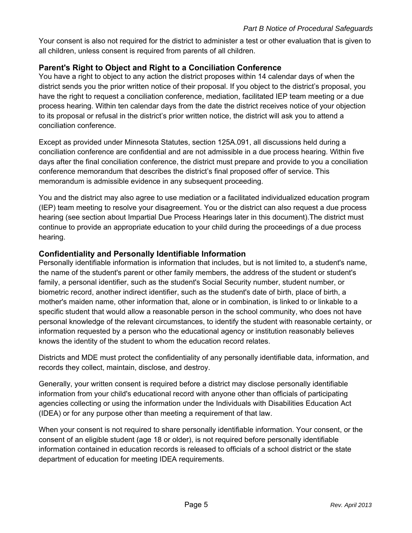Your consent is also not required for the district to administer a test or other evaluation that is given to all children, unless consent is required from parents of all children.

## **Parent's Right to Object and Right to a Conciliation Conference**

You have a right to object to any action the district proposes within 14 calendar days of when the district sends you the prior written notice of their proposal. If you object to the district's proposal, you have the right to request a conciliation conference, mediation, facilitated IEP team meeting or a due process hearing. Within ten calendar days from the date the district receives notice of your objection to its proposal or refusal in the district's prior written notice, the district will ask you to attend a conciliation conference.

Except as provided under Minnesota Statutes, section 125A.091, all discussions held during a conciliation conference are confidential and are not admissible in a due process hearing. Within five days after the final conciliation conference, the district must prepare and provide to you a conciliation conference memorandum that describes the district's final proposed offer of service. This memorandum is admissible evidence in any subsequent proceeding.

You and the district may also agree to use mediation or a facilitated individualized education program (IEP) team meeting to resolve your disagreement. You or the district can also request a due process hearing (see section about Impartial Due Process Hearings later in this document).The district must continue to provide an appropriate education to your child during the proceedings of a due process hearing.

#### **Confidentiality and Personally Identifiable Information**

Personally identifiable information is information that includes, but is not limited to, a student's name, the name of the student's parent or other family members, the address of the student or student's family, a personal identifier, such as the student's Social Security number, student number, or biometric record, another indirect identifier, such as the student's date of birth, place of birth, a mother's maiden name, other information that, alone or in combination, is linked to or linkable to a specific student that would allow a reasonable person in the school community, who does not have personal knowledge of the relevant circumstances, to identify the student with reasonable certainty, or information requested by a person who the educational agency or institution reasonably believes knows the identity of the student to whom the education record relates.

Districts and MDE must protect the confidentiality of any personally identifiable data, information, and records they collect, maintain, disclose, and destroy.

Generally, your written consent is required before a district may disclose personally identifiable information from your child's educational record with anyone other than officials of participating agencies collecting or using the information under the Individuals with Disabilities Education Act (IDEA) or for any purpose other than meeting a requirement of that law.

When your consent is not required to share personally identifiable information. Your consent, or the consent of an eligible student (age 18 or older), is not required before personally identifiable information contained in education records is released to officials of a school district or the state department of education for meeting IDEA requirements.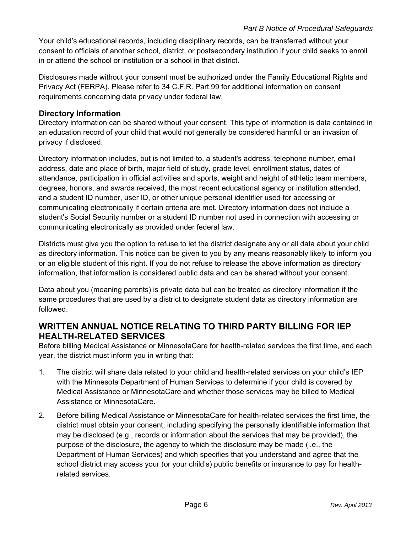Your child's educational records, including disciplinary records, can be transferred without your consent to officials of another school, district, or postsecondary institution if your child seeks to enroll in or attend the school or institution or a school in that district.

Disclosures made without your consent must be authorized under the Family Educational Rights and Privacy Act (FERPA). Please refer to 34 C.F.R. Part 99 for additional information on consent requirements concerning data privacy under federal law.

### **Directory Information**

Directory information can be shared without your consent. This type of information is data contained in an education record of your child that would not generally be considered harmful or an invasion of privacy if disclosed.

Directory information includes, but is not limited to, a student's address, telephone number, email address, date and place of birth, major field of study, grade level, enrollment status, dates of attendance, participation in official activities and sports, weight and height of athletic team members, degrees, honors, and awards received, the most recent educational agency or institution attended, and a student ID number, user ID, or other unique personal identifier used for accessing or communicating electronically if certain criteria are met. Directory information does not include a student's Social Security number or a student ID number not used in connection with accessing or communicating electronically as provided under federal law.

Districts must give you the option to refuse to let the district designate any or all data about your child as directory information. This notice can be given to you by any means reasonably likely to inform you or an eligible student of this right. If you do not refuse to release the above information as directory information, that information is considered public data and can be shared without your consent.

Data about you (meaning parents) is private data but can be treated as directory information if the same procedures that are used by a district to designate student data as directory information are followed.

## **WRITTEN ANNUAL NOTICE RELATING TO THIRD PARTY BILLING FOR IEP HEALTH-RELATED SERVICES**

Before billing Medical Assistance or MinnesotaCare for health-related services the first time, and each year, the district must inform you in writing that:

- 1. The district will share data related to your child and health-related services on your child's IEP with the Minnesota Department of Human Services to determine if your child is covered by Medical Assistance or MinnesotaCare and whether those services may be billed to Medical Assistance or MinnesotaCare.
- 2. Before billing Medical Assistance or MinnesotaCare for health-related services the first time, the district must obtain your consent, including specifying the personally identifiable information that may be disclosed (e.g., records or information about the services that may be provided), the purpose of the disclosure, the agency to which the disclosure may be made (i.e., the Department of Human Services) and which specifies that you understand and agree that the school district may access your (or your child's) public benefits or insurance to pay for healthrelated services.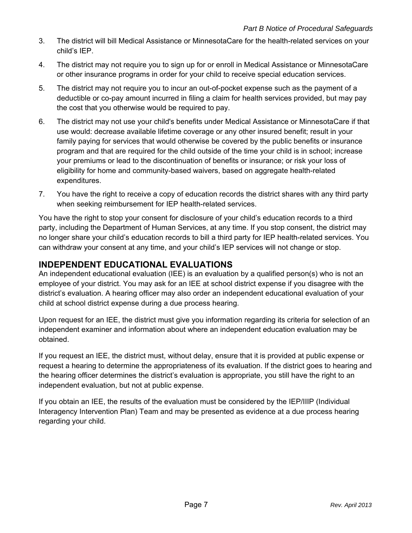- 3. The district will bill Medical Assistance or MinnesotaCare for the health-related services on your child's IEP.
- 4. The district may not require you to sign up for or enroll in Medical Assistance or MinnesotaCare or other insurance programs in order for your child to receive special education services.
- 5. The district may not require you to incur an out-of-pocket expense such as the payment of a deductible or co-pay amount incurred in filing a claim for health services provided, but may pay the cost that you otherwise would be required to pay.
- 6. The district may not use your child's benefits under Medical Assistance or MinnesotaCare if that use would: decrease available lifetime coverage or any other insured benefit; result in your family paying for services that would otherwise be covered by the public benefits or insurance program and that are required for the child outside of the time your child is in school; increase your premiums or lead to the discontinuation of benefits or insurance; or risk your loss of eligibility for home and community-based waivers, based on aggregate health-related expenditures.
- 7. You have the right to receive a copy of education records the district shares with any third party when seeking reimbursement for IEP health-related services.

You have the right to stop your consent for disclosure of your child's education records to a third party, including the Department of Human Services, at any time. If you stop consent, the district may no longer share your child's education records to bill a third party for IEP health-related services. You can withdraw your consent at any time, and your child's IEP services will not change or stop.

## **INDEPENDENT EDUCATIONAL EVALUATIONS**

An independent educational evaluation (IEE) is an evaluation by a qualified person(s) who is not an employee of your district. You may ask for an IEE at school district expense if you disagree with the district's evaluation. A hearing officer may also order an independent educational evaluation of your child at school district expense during a due process hearing.

Upon request for an IEE, the district must give you information regarding its criteria for selection of an independent examiner and information about where an independent education evaluation may be obtained.

If you request an IEE, the district must, without delay, ensure that it is provided at public expense or request a hearing to determine the appropriateness of its evaluation. If the district goes to hearing and the hearing officer determines the district's evaluation is appropriate, you still have the right to an independent evaluation, but not at public expense.

If you obtain an IEE, the results of the evaluation must be considered by the IEP/IIIP (Individual Interagency Intervention Plan) Team and may be presented as evidence at a due process hearing regarding your child.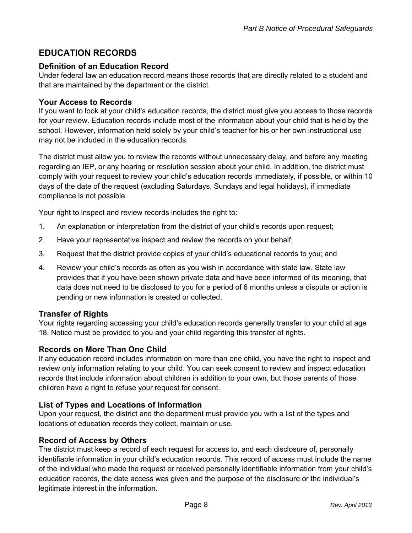# **EDUCATION RECORDS**

### **Definition of an Education Record**

Under federal law an education record means those records that are directly related to a student and that are maintained by the department or the district.

### **Your Access to Records**

If you want to look at your child's education records, the district must give you access to those records for your review. Education records include most of the information about your child that is held by the school. However, information held solely by your child's teacher for his or her own instructional use may not be included in the education records.

The district must allow you to review the records without unnecessary delay, and before any meeting regarding an IEP, or any hearing or resolution session about your child. In addition, the district must comply with your request to review your child's education records immediately, if possible, or within 10 days of the date of the request (excluding Saturdays, Sundays and legal holidays), if immediate compliance is not possible.

Your right to inspect and review records includes the right to:

- 1. An explanation or interpretation from the district of your child's records upon request;
- 2. Have your representative inspect and review the records on your behalf;
- 3. Request that the district provide copies of your child's educational records to you; and
- 4. Review your child's records as often as you wish in accordance with state law. State law provides that if you have been shown private data and have been informed of its meaning, that data does not need to be disclosed to you for a period of 6 months unless a dispute or action is pending or new information is created or collected.

## **Transfer of Rights**

Your rights regarding accessing your child's education records generally transfer to your child at age 18. Notice must be provided to you and your child regarding this transfer of rights.

#### **Records on More Than One Child**

If any education record includes information on more than one child, you have the right to inspect and review only information relating to your child. You can seek consent to review and inspect education records that include information about children in addition to your own, but those parents of those children have a right to refuse your request for consent.

## **List of Types and Locations of Information**

Upon your request, the district and the department must provide you with a list of the types and locations of education records they collect, maintain or use.

#### **Record of Access by Others**

The district must keep a record of each request for access to, and each disclosure of, personally identifiable information in your child's education records. This record of access must include the name of the individual who made the request or received personally identifiable information from your child's education records, the date access was given and the purpose of the disclosure or the individual's legitimate interest in the information.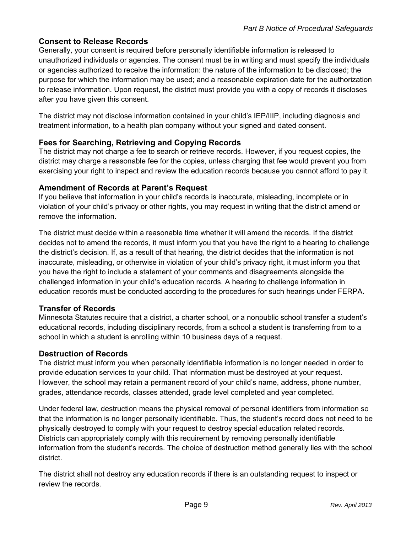### **Consent to Release Records**

Generally, your consent is required before personally identifiable information is released to unauthorized individuals or agencies. The consent must be in writing and must specify the individuals or agencies authorized to receive the information: the nature of the information to be disclosed; the purpose for which the information may be used; and a reasonable expiration date for the authorization to release information. Upon request, the district must provide you with a copy of records it discloses after you have given this consent.

The district may not disclose information contained in your child's IEP/IIIP, including diagnosis and treatment information, to a health plan company without your signed and dated consent.

### **Fees for Searching, Retrieving and Copying Records**

The district may not charge a fee to search or retrieve records. However, if you request copies, the district may charge a reasonable fee for the copies, unless charging that fee would prevent you from exercising your right to inspect and review the education records because you cannot afford to pay it.

#### **Amendment of Records at Parent's Request**

If you believe that information in your child's records is inaccurate, misleading, incomplete or in violation of your child's privacy or other rights, you may request in writing that the district amend or remove the information.

The district must decide within a reasonable time whether it will amend the records. If the district decides not to amend the records, it must inform you that you have the right to a hearing to challenge the district's decision. If, as a result of that hearing, the district decides that the information is not inaccurate, misleading, or otherwise in violation of your child's privacy right, it must inform you that you have the right to include a statement of your comments and disagreements alongside the challenged information in your child's education records. A hearing to challenge information in education records must be conducted according to the procedures for such hearings under FERPA.

## **Transfer of Records**

Minnesota Statutes require that a district, a charter school, or a nonpublic school transfer a student's educational records, including disciplinary records, from a school a student is transferring from to a school in which a student is enrolling within 10 business days of a request.

## **Destruction of Records**

The district must inform you when personally identifiable information is no longer needed in order to provide education services to your child. That information must be destroyed at your request. However, the school may retain a permanent record of your child's name, address, phone number, grades, attendance records, classes attended, grade level completed and year completed.

Under federal law, destruction means the physical removal of personal identifiers from information so that the information is no longer personally identifiable. Thus, the student's record does not need to be physically destroyed to comply with your request to destroy special education related records. Districts can appropriately comply with this requirement by removing personally identifiable information from the student's records. The choice of destruction method generally lies with the school district.

The district shall not destroy any education records if there is an outstanding request to inspect or review the records.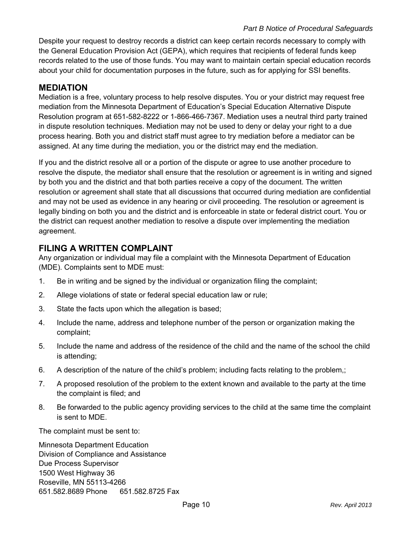#### *Part B Notice of Procedural Safeguards*

Despite your request to destroy records a district can keep certain records necessary to comply with the General Education Provision Act (GEPA), which requires that recipients of federal funds keep records related to the use of those funds. You may want to maintain certain special education records about your child for documentation purposes in the future, such as for applying for SSI benefits.

### **MEDIATION**

Mediation is a free, voluntary process to help resolve disputes. You or your district may request free mediation from the Minnesota Department of Education's Special Education Alternative Dispute Resolution program at 651-582-8222 or 1-866-466-7367. Mediation uses a neutral third party trained in dispute resolution techniques. Mediation may not be used to deny or delay your right to a due process hearing. Both you and district staff must agree to try mediation before a mediator can be assigned. At any time during the mediation, you or the district may end the mediation.

If you and the district resolve all or a portion of the dispute or agree to use another procedure to resolve the dispute, the mediator shall ensure that the resolution or agreement is in writing and signed by both you and the district and that both parties receive a copy of the document. The written resolution or agreement shall state that all discussions that occurred during mediation are confidential and may not be used as evidence in any hearing or civil proceeding. The resolution or agreement is legally binding on both you and the district and is enforceable in state or federal district court. You or the district can request another mediation to resolve a dispute over implementing the mediation agreement.

## **FILING A WRITTEN COMPLAINT**

Any organization or individual may file a complaint with the Minnesota Department of Education (MDE). Complaints sent to MDE must:

- 1. Be in writing and be signed by the individual or organization filing the complaint;
- 2. Allege violations of state or federal special education law or rule;
- 3. State the facts upon which the allegation is based;
- 4. Include the name, address and telephone number of the person or organization making the complaint;
- 5. Include the name and address of the residence of the child and the name of the school the child is attending;
- 6. A description of the nature of the child's problem; including facts relating to the problem,;
- 7. A proposed resolution of the problem to the extent known and available to the party at the time the complaint is filed; and
- 8. Be forwarded to the public agency providing services to the child at the same time the complaint is sent to MDE.

The complaint must be sent to:

Minnesota Department Education Division of Compliance and Assistance Due Process Supervisor 1500 West Highway 36 Roseville, MN 55113-4266 651.582.8689 Phone 651.582.8725 Fax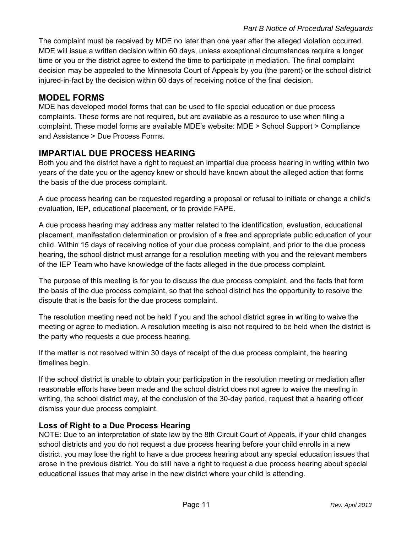The complaint must be received by MDE no later than one year after the alleged violation occurred. MDE will issue a written decision within 60 days, unless exceptional circumstances require a longer time or you or the district agree to extend the time to participate in mediation. The final complaint decision may be appealed to the Minnesota Court of Appeals by you (the parent) or the school district injured-in-fact by the decision within 60 days of receiving notice of the final decision.

# **MODEL FORMS**

MDE has developed model forms that can be used to file special education or due process complaints. These forms are not required, but are available as a resource to use when filing a complaint. These model forms are available MDE's website: MDE > School Support > Compliance and Assistance > Due Process Forms.

# **IMPARTIAL DUE PROCESS HEARING**

Both you and the district have a right to request an impartial due process hearing in writing within two years of the date you or the agency knew or should have known about the alleged action that forms the basis of the due process complaint.

A due process hearing can be requested regarding a proposal or refusal to initiate or change a child's evaluation, IEP, educational placement, or to provide FAPE.

A due process hearing may address any matter related to the identification, evaluation, educational placement, manifestation determination or provision of a free and appropriate public education of your child. Within 15 days of receiving notice of your due process complaint, and prior to the due process hearing, the school district must arrange for a resolution meeting with you and the relevant members of the IEP Team who have knowledge of the facts alleged in the due process complaint.

The purpose of this meeting is for you to discuss the due process complaint, and the facts that form the basis of the due process complaint, so that the school district has the opportunity to resolve the dispute that is the basis for the due process complaint.

The resolution meeting need not be held if you and the school district agree in writing to waive the meeting or agree to mediation. A resolution meeting is also not required to be held when the district is the party who requests a due process hearing.

If the matter is not resolved within 30 days of receipt of the due process complaint, the hearing timelines begin.

If the school district is unable to obtain your participation in the resolution meeting or mediation after reasonable efforts have been made and the school district does not agree to waive the meeting in writing, the school district may, at the conclusion of the 30-day period, request that a hearing officer dismiss your due process complaint.

## **Loss of Right to a Due Process Hearing**

NOTE: Due to an interpretation of state law by the 8th Circuit Court of Appeals, if your child changes school districts and you do not request a due process hearing before your child enrolls in a new district, you may lose the right to have a due process hearing about any special education issues that arose in the previous district. You do still have a right to request a due process hearing about special educational issues that may arise in the new district where your child is attending.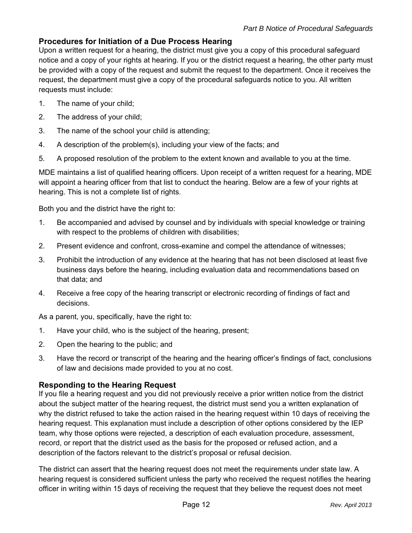### **Procedures for Initiation of a Due Process Hearing**

Upon a written request for a hearing, the district must give you a copy of this procedural safeguard notice and a copy of your rights at hearing. If you or the district request a hearing, the other party must be provided with a copy of the request and submit the request to the department. Once it receives the request, the department must give a copy of the procedural safeguards notice to you. All written requests must include:

- 1. The name of your child;
- 2. The address of your child;
- 3. The name of the school your child is attending;
- 4. A description of the problem(s), including your view of the facts; and
- 5. A proposed resolution of the problem to the extent known and available to you at the time.

MDE maintains a list of qualified hearing officers. Upon receipt of a written request for a hearing, MDE will appoint a hearing officer from that list to conduct the hearing. Below are a few of your rights at hearing. This is not a complete list of rights.

Both you and the district have the right to:

- 1. Be accompanied and advised by counsel and by individuals with special knowledge or training with respect to the problems of children with disabilities;
- 2. Present evidence and confront, cross-examine and compel the attendance of witnesses;
- 3. Prohibit the introduction of any evidence at the hearing that has not been disclosed at least five business days before the hearing, including evaluation data and recommendations based on that data; and
- 4. Receive a free copy of the hearing transcript or electronic recording of findings of fact and decisions.

As a parent, you, specifically, have the right to:

- 1. Have your child, who is the subject of the hearing, present;
- 2. Open the hearing to the public; and
- 3. Have the record or transcript of the hearing and the hearing officer's findings of fact, conclusions of law and decisions made provided to you at no cost.

## **Responding to the Hearing Request**

If you file a hearing request and you did not previously receive a prior written notice from the district about the subject matter of the hearing request, the district must send you a written explanation of why the district refused to take the action raised in the hearing request within 10 days of receiving the hearing request. This explanation must include a description of other options considered by the IEP team, why those options were rejected, a description of each evaluation procedure, assessment, record, or report that the district used as the basis for the proposed or refused action, and a description of the factors relevant to the district's proposal or refusal decision.

The district can assert that the hearing request does not meet the requirements under state law. A hearing request is considered sufficient unless the party who received the request notifies the hearing officer in writing within 15 days of receiving the request that they believe the request does not meet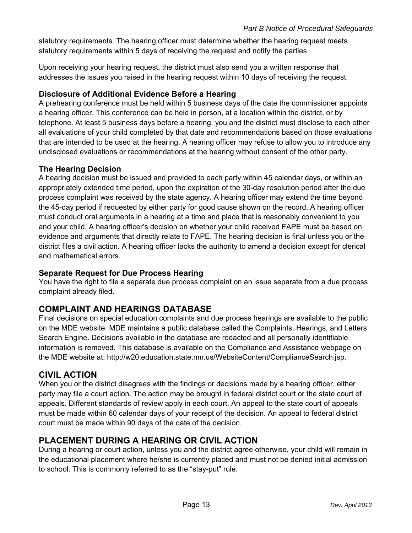statutory requirements. The hearing officer must determine whether the hearing request meets statutory requirements within 5 days of receiving the request and notify the parties.

Upon receiving your hearing request, the district must also send you a written response that addresses the issues you raised in the hearing request within 10 days of receiving the request.

### **Disclosure of Additional Evidence Before a Hearing**

A prehearing conference must be held within 5 business days of the date the commissioner appoints a hearing officer. This conference can be held in person, at a location within the district, or by telephone. At least 5 business days before a hearing, you and the district must disclose to each other all evaluations of your child completed by that date and recommendations based on those evaluations that are intended to be used at the hearing. A hearing officer may refuse to allow you to introduce any undisclosed evaluations or recommendations at the hearing without consent of the other party.

### **The Hearing Decision**

A hearing decision must be issued and provided to each party within 45 calendar days, or within an appropriately extended time period, upon the expiration of the 30-day resolution period after the due process complaint was received by the state agency. A hearing officer may extend the time beyond the 45-day period if requested by either party for good cause shown on the record. A hearing officer must conduct oral arguments in a hearing at a time and place that is reasonably convenient to you and your child. A hearing officer's decision on whether your child received FAPE must be based on evidence and arguments that directly relate to FAPE. The hearing decision is final unless you or the district files a civil action. A hearing officer lacks the authority to amend a decision except for clerical and mathematical errors.

#### **Separate Request for Due Process Hearing**

You have the right to file a separate due process complaint on an issue separate from a due process complaint already filed.

## **COMPLAINT AND HEARINGS DATABASE**

Final decisions on special education complaints and due process hearings are available to the public on the MDE website. MDE maintains a public database called the Complaints, Hearings, and Letters Search Engine. Decisions available in the database are redacted and all personally identifiable information is removed. This database is available on the Compliance and Assistance webpage on the MDE website at: http://w20.education.state.mn.us/WebsiteContent/ComplianceSearch.jsp.

## **CIVIL ACTION**

When you or the district disagrees with the findings or decisions made by a hearing officer, either party may file a court action. The action may be brought in federal district court or the state court of appeals. Different standards of review apply in each court. An appeal to the state court of appeals must be made within 60 calendar days of your receipt of the decision. An appeal to federal district court must be made within 90 days of the date of the decision.

# **PLACEMENT DURING A HEARING OR CIVIL ACTION**

During a hearing or court action, unless you and the district agree otherwise, your child will remain in the educational placement where he/she is currently placed and must not be denied initial admission to school. This is commonly referred to as the "stay-put" rule.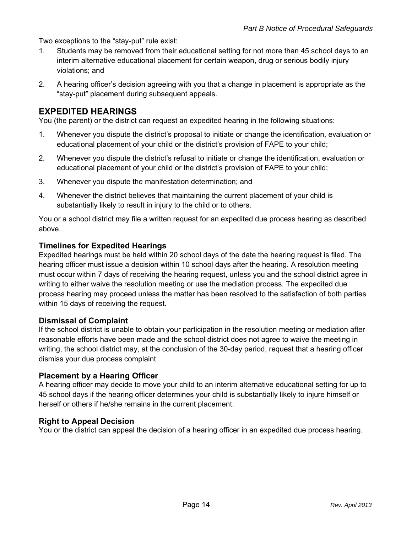Two exceptions to the "stay-put" rule exist:

- 1. Students may be removed from their educational setting for not more than 45 school days to an interim alternative educational placement for certain weapon, drug or serious bodily injury violations; and
- 2. A hearing officer's decision agreeing with you that a change in placement is appropriate as the "stay-put" placement during subsequent appeals.

### **EXPEDITED HEARINGS**

You (the parent) or the district can request an expedited hearing in the following situations:

- 1. Whenever you dispute the district's proposal to initiate or change the identification, evaluation or educational placement of your child or the district's provision of FAPE to your child;
- 2. Whenever you dispute the district's refusal to initiate or change the identification, evaluation or educational placement of your child or the district's provision of FAPE to your child;
- 3. Whenever you dispute the manifestation determination; and
- 4. Whenever the district believes that maintaining the current placement of your child is substantially likely to result in injury to the child or to others.

You or a school district may file a written request for an expedited due process hearing as described above.

#### **Timelines for Expedited Hearings**

Expedited hearings must be held within 20 school days of the date the hearing request is filed. The hearing officer must issue a decision within 10 school days after the hearing. A resolution meeting must occur within 7 days of receiving the hearing request, unless you and the school district agree in writing to either waive the resolution meeting or use the mediation process. The expedited due process hearing may proceed unless the matter has been resolved to the satisfaction of both parties within 15 days of receiving the request.

#### **Dismissal of Complaint**

If the school district is unable to obtain your participation in the resolution meeting or mediation after reasonable efforts have been made and the school district does not agree to waive the meeting in writing, the school district may, at the conclusion of the 30-day period, request that a hearing officer dismiss your due process complaint.

#### **Placement by a Hearing Officer**

A hearing officer may decide to move your child to an interim alternative educational setting for up to 45 school days if the hearing officer determines your child is substantially likely to injure himself or herself or others if he/she remains in the current placement.

#### **Right to Appeal Decision**

You or the district can appeal the decision of a hearing officer in an expedited due process hearing.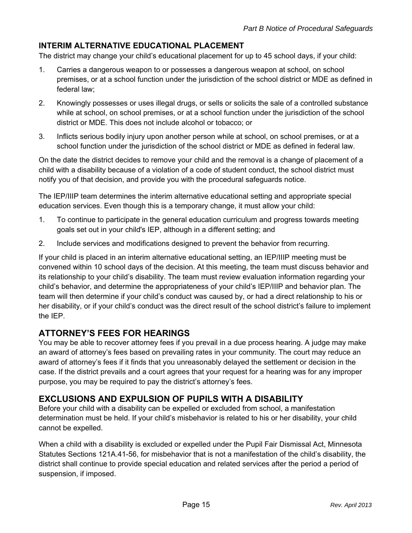## **INTERIM ALTERNATIVE EDUCATIONAL PLACEMENT**

The district may change your child's educational placement for up to 45 school days, if your child:

- 1. Carries a dangerous weapon to or possesses a dangerous weapon at school, on school premises, or at a school function under the jurisdiction of the school district or MDE as defined in federal law;
- 2. Knowingly possesses or uses illegal drugs, or sells or solicits the sale of a controlled substance while at school, on school premises, or at a school function under the jurisdiction of the school district or MDE. This does not include alcohol or tobacco; or
- 3. Inflicts serious bodily injury upon another person while at school, on school premises, or at a school function under the jurisdiction of the school district or MDE as defined in federal law.

On the date the district decides to remove your child and the removal is a change of placement of a child with a disability because of a violation of a code of student conduct, the school district must notify you of that decision, and provide you with the procedural safeguards notice.

The IEP/IIIP team determines the interim alternative educational setting and appropriate special education services. Even though this is a temporary change, it must allow your child:

- 1. To continue to participate in the general education curriculum and progress towards meeting goals set out in your child's IEP, although in a different setting; and
- 2. Include services and modifications designed to prevent the behavior from recurring.

If your child is placed in an interim alternative educational setting, an IEP/IIIP meeting must be convened within 10 school days of the decision. At this meeting, the team must discuss behavior and its relationship to your child's disability. The team must review evaluation information regarding your child's behavior, and determine the appropriateness of your child's IEP/IIIP and behavior plan. The team will then determine if your child's conduct was caused by, or had a direct relationship to his or her disability, or if your child's conduct was the direct result of the school district's failure to implement the IEP.

## **ATTORNEY'S FEES FOR HEARINGS**

You may be able to recover attorney fees if you prevail in a due process hearing. A judge may make an award of attorney's fees based on prevailing rates in your community. The court may reduce an award of attorney's fees if it finds that you unreasonably delayed the settlement or decision in the case. If the district prevails and a court agrees that your request for a hearing was for any improper purpose, you may be required to pay the district's attorney's fees.

## **EXCLUSIONS AND EXPULSION OF PUPILS WITH A DISABILITY**

Before your child with a disability can be expelled or excluded from school, a manifestation determination must be held. If your child's misbehavior is related to his or her disability, your child cannot be expelled.

When a child with a disability is excluded or expelled under the Pupil Fair Dismissal Act, Minnesota Statutes Sections 121A.41-56, for misbehavior that is not a manifestation of the child's disability, the district shall continue to provide special education and related services after the period a period of suspension, if imposed.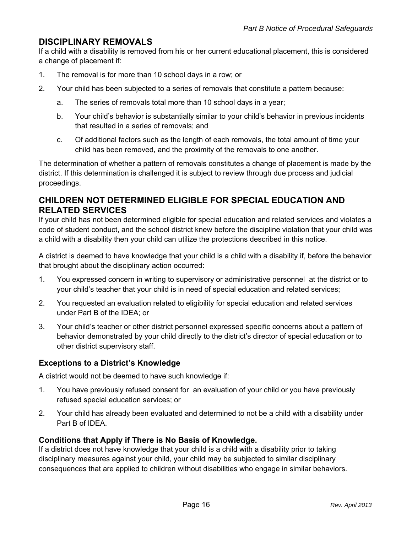## **DISCIPLINARY REMOVALS**

If a child with a disability is removed from his or her current educational placement, this is considered a change of placement if:

- 1. The removal is for more than 10 school days in a row; or
- 2. Your child has been subjected to a series of removals that constitute a pattern because:
	- a. The series of removals total more than 10 school days in a year;
	- b. Your child's behavior is substantially similar to your child's behavior in previous incidents that resulted in a series of removals; and
	- c. Of additional factors such as the length of each removals, the total amount of time your child has been removed, and the proximity of the removals to one another.

The determination of whether a pattern of removals constitutes a change of placement is made by the district. If this determination is challenged it is subject to review through due process and judicial proceedings.

## **CHILDREN NOT DETERMINED ELIGIBLE FOR SPECIAL EDUCATION AND RELATED SERVICES**

If your child has not been determined eligible for special education and related services and violates a code of student conduct, and the school district knew before the discipline violation that your child was a child with a disability then your child can utilize the protections described in this notice.

A district is deemed to have knowledge that your child is a child with a disability if, before the behavior that brought about the disciplinary action occurred:

- 1. You expressed concern in writing to supervisory or administrative personnel at the district or to your child's teacher that your child is in need of special education and related services;
- 2. You requested an evaluation related to eligibility for special education and related services under Part B of the IDEA; or
- 3. Your child's teacher or other district personnel expressed specific concerns about a pattern of behavior demonstrated by your child directly to the district's director of special education or to other district supervisory staff.

#### **Exceptions to a District's Knowledge**

A district would not be deemed to have such knowledge if:

- 1. You have previously refused consent for an evaluation of your child or you have previously refused special education services; or
- 2. Your child has already been evaluated and determined to not be a child with a disability under Part B of IDEA.

### **Conditions that Apply if There is No Basis of Knowledge.**

If a district does not have knowledge that your child is a child with a disability prior to taking disciplinary measures against your child, your child may be subjected to similar disciplinary consequences that are applied to children without disabilities who engage in similar behaviors.